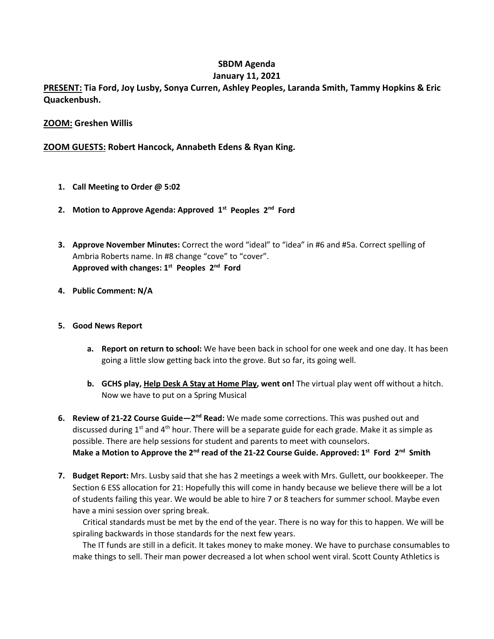# **SBDM Agenda**

# **January 11, 2021**

**PRESENT: Tia Ford, Joy Lusby, Sonya Curren, Ashley Peoples, Laranda Smith, Tammy Hopkins & Eric Quackenbush.**

## **ZOOM: Greshen Willis**

**ZOOM GUESTS: Robert Hancock, Annabeth Edens & Ryan King.** 

- **1. Call Meeting to Order @ 5:02**
- **2. Motion to Approve Agenda: Approved 1st Peoples 2nd Ford**
- **3. Approve November Minutes:** Correct the word "ideal" to "idea" in #6 and #5a. Correct spelling of Ambria Roberts name. In #8 change "cove" to "cover". **Approved with changes: 1st Peoples 2nd Ford**
- **4. Public Comment: N/A**

### **5. Good News Report**

- **a. Report on return to school:** We have been back in school for one week and one day. It has been going a little slow getting back into the grove. But so far, its going well.
- **b. GCHS play, Help Desk A Stay at Home Play, went on!** The virtual play went off without a hitch. Now we have to put on a Spring Musical
- **6. Review of 21-22 Course Guide—2nd Read:** We made some corrections. This was pushed out and discussed during  $1<sup>st</sup>$  and  $4<sup>th</sup>$  hour. There will be a separate guide for each grade. Make it as simple as possible. There are help sessions for student and parents to meet with counselors. Make a Motion to Approve the 2<sup>nd</sup> read of the 21-22 Course Guide. Approved: 1<sup>st</sup> Ford 2<sup>nd</sup> Smith
- **7. Budget Report:** Mrs. Lusby said that she has 2 meetings a week with Mrs. Gullett, our bookkeeper. The Section 6 ESS allocation for 21: Hopefully this will come in handy because we believe there will be a lot of students failing this year. We would be able to hire 7 or 8 teachers for summer school. Maybe even have a mini session over spring break.

 Critical standards must be met by the end of the year. There is no way for this to happen. We will be spiraling backwards in those standards for the next few years.

 The IT funds are still in a deficit. It takes money to make money. We have to purchase consumables to make things to sell. Their man power decreased a lot when school went viral. Scott County Athletics is